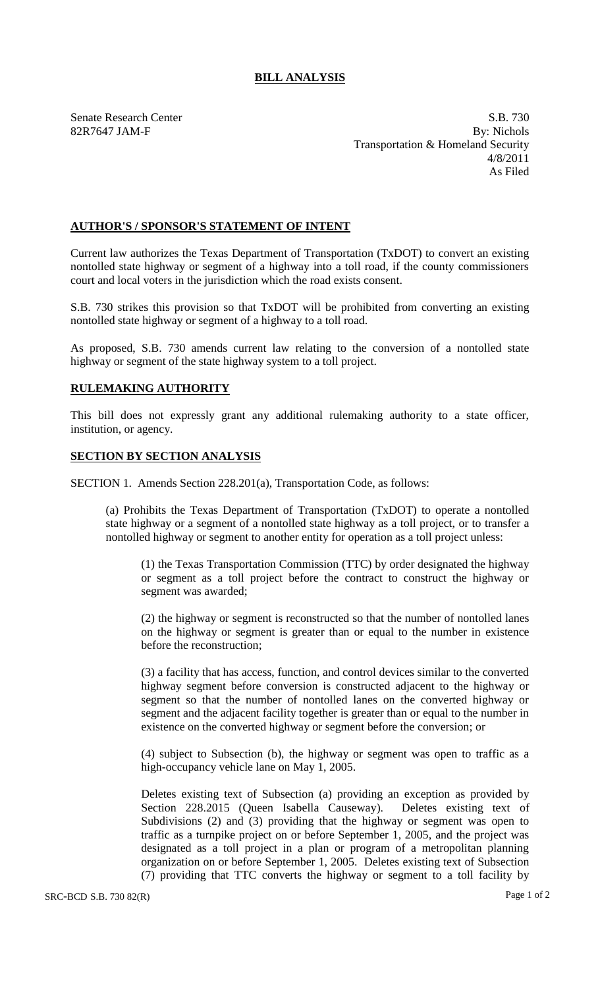## **BILL ANALYSIS**

82R7647 JAM-F

Senate Research Center S.B. 730<br>
S.B. 730<br>
By: Nichols By: Nichols Transportation & Homeland Security 4/8/2011 As Filed

## **AUTHOR'S / SPONSOR'S STATEMENT OF INTENT**

Current law authorizes the Texas Department of Transportation (TxDOT) to convert an existing nontolled state highway or segment of a highway into a toll road, if the county commissioners court and local voters in the jurisdiction which the road exists consent.

S.B. 730 strikes this provision so that TxDOT will be prohibited from converting an existing nontolled state highway or segment of a highway to a toll road.

As proposed, S.B. 730 amends current law relating to the conversion of a nontolled state highway or segment of the state highway system to a toll project.

## **RULEMAKING AUTHORITY**

This bill does not expressly grant any additional rulemaking authority to a state officer, institution, or agency.

## **SECTION BY SECTION ANALYSIS**

SECTION 1. Amends Section 228.201(a), Transportation Code, as follows:

(a) Prohibits the Texas Department of Transportation (TxDOT) to operate a nontolled state highway or a segment of a nontolled state highway as a toll project, or to transfer a nontolled highway or segment to another entity for operation as a toll project unless:

(1) the Texas Transportation Commission (TTC) by order designated the highway or segment as a toll project before the contract to construct the highway or segment was awarded;

(2) the highway or segment is reconstructed so that the number of nontolled lanes on the highway or segment is greater than or equal to the number in existence before the reconstruction;

(3) a facility that has access, function, and control devices similar to the converted highway segment before conversion is constructed adjacent to the highway or segment so that the number of nontolled lanes on the converted highway or segment and the adjacent facility together is greater than or equal to the number in existence on the converted highway or segment before the conversion; or

(4) subject to Subsection (b), the highway or segment was open to traffic as a high-occupancy vehicle lane on May 1, 2005.

Deletes existing text of Subsection (a) providing an exception as provided by Section 228.2015 (Queen Isabella Causeway). Deletes existing text of Subdivisions (2) and (3) providing that the highway or segment was open to traffic as a turnpike project on or before September 1, 2005, and the project was designated as a toll project in a plan or program of a metropolitan planning organization on or before September 1, 2005. Deletes existing text of Subsection (7) providing that TTC converts the highway or segment to a toll facility by